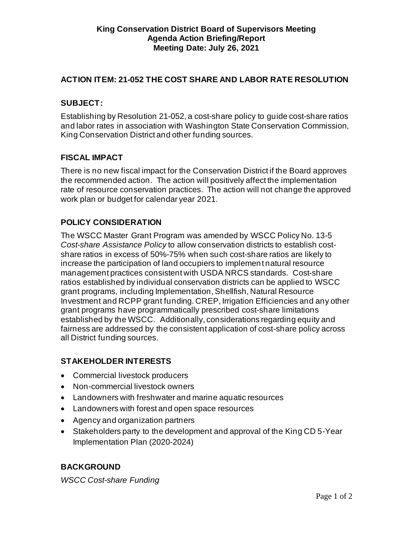# **ACTION ITEM: 21-052 THE COST SHARE AND LABOR RATE RESOLUTION**

#### **SUBJECT:**

Establishing by Resolution 21-052, a cost-share policy to guide cost-share ratios and labor rates in association with Washington State Conservation Commission, King Conservation District and other funding sources.

### **FISCAL IMPACT**

There is no new fiscal impact for the Conservation District if the Board approves the recommended action. The action will positively affect the implementation rate of resource conservation practices. The action will not change the approved work plan or budget for calendar year 2021.

# **POLICY CONSIDERATION**

The WSCC Master Grant Program was amended by WSCC Policy No. 13-5 *Cost-share Assistance Policy* to allow conservation districts to establish costshare ratios in excess of 50%-75% when such cost-share ratios are likely to increase the participation of land occupiers to implement natural resource management practices consistent with USDA NRCS standards. Cost-share ratios established by individual conservation districts can be applied to WSCC grant programs, including Implementation, Shellfish, Natural Resource Investment and RCPP grant funding. CREP, Irrigation Efficiencies and any other grant programs have programmatically prescribed cost-share limitations established by the WSCC. Additionally, considerations regarding equity and fairness are addressed by the consistent application of cost-share policy across all District funding sources.

## **STAKEHOLDER INTERESTS**

- Commercial livestock producers
- Non-commercial livestock owners
- Landowners with freshwater and marine aquatic resources
- Landowners with forest and open space resources
- Agency and organization partners
- Stakeholders party to the development and approval of the King CD 5-Year Implementation Plan (2020-2024)

## **BACKGROUND**

*WSCC Cost-share Funding*